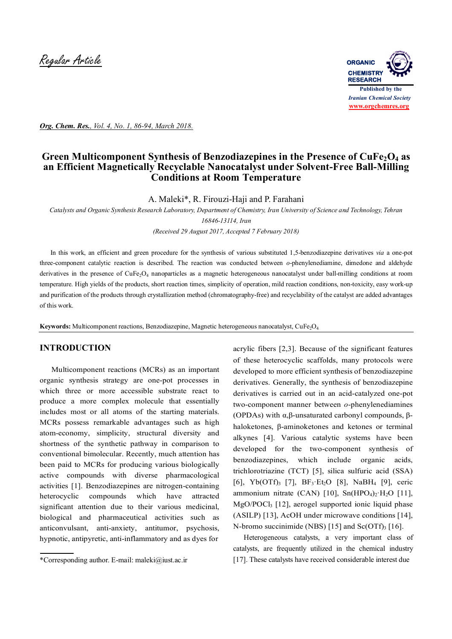

*Org. Chem. Res., Vol. 4, No. 1, 86-94, March 2018.*

# Green Multicomponent Synthesis of Benzodiazepines in the Presence of CuFe<sub>2</sub>O<sub>4</sub> as **an Efficient Magnetically Recyclable Nanocatalyst under Solvent-Free Ball-Milling Conditions at Room Temperature**

A. Maleki\*, R. Firouzi-Haji and P. Farahani

*Catalysts and Organic Synthesis Research Laboratory, Department of Chemistry, Iran University of Science and Technology, Tehran* 

*16846-13114, Iran*

*(Received 29 August 2017, Accepted 7 February 2018)*

 In this work, an efficient and green procedure for the synthesis of various substituted 1,5-benzodiazepine derivatives *via* a one-pot three-component catalytic reaction is described. The reaction was conducted between *o*-phenylenediamine, dimedone and aldehyde derivatives in the presence of CuFe<sub>2</sub>O<sub>4</sub> nanoparticles as a magnetic heterogeneous nanocatalyst under ball-milling conditions at room temperature. High yields of the products, short reaction times, simplicity of operation, mild reaction conditions, non-toxicity, easy work-up and purification of the products through crystallization method (chromatography-free) and recyclability of the catalyst are added advantages of this work.

Keywords: Multicomponent reactions, Benzodiazepine, Magnetic heterogeneous nanocatalyst, CuFe<sub>2</sub>O<sub>4</sub>

### **INTRODUCTION**

 Multicomponent reactions (MCRs) as an important organic synthesis strategy are one-pot processes in which three or more accessible substrate react to produce a more complex molecule that essentially includes most or all atoms of the starting materials. MCRs possess remarkable advantages such as high atom-economy, simplicity, structural diversity and shortness of the synthetic pathway in comparison to conventional bimolecular. Recently, much attention has been paid to MCRs for producing various biologically active compounds with diverse pharmacological activities [1]. Benzodiazepines are nitrogen-containing heterocyclic compounds which have attracted significant attention due to their various medicinal, biological and pharmaceutical activities such as anticonvulsant, anti-anxiety, antitumor, psychosis, hypnotic, antipyretic, anti-inflammatory and as dyes for

acrylic fibers [2,3]. Because of the significant features of these heterocyclic scaffolds, many protocols were developed to more efficient synthesis of benzodiazepine derivatives. Generally, the synthesis of benzodiazepine derivatives is carried out in an acid-catalyzed one-pot two-component manner between *o*-phenylenediamines (OPDAs) with α,β-unsaturated carbonyl compounds, βhaloketones, β-aminoketones and ketones or terminal alkynes [4]. Various catalytic systems have been developed for the two-component synthesis of benzodiazepines, which include organic acids, trichlorotriazine (TCT) [5], silica sulfuric acid (SSA) [6], Yb(OTf)<sub>3</sub> [7], BF<sub>3</sub>·Et<sub>2</sub>O [8], NaBH<sub>4</sub> [9], ceric ammonium nitrate (CAN) [10],  $Sn(HPO<sub>4</sub>)<sub>2</sub>·H<sub>2</sub>O$  [11], MgO/POCl3 [12], aerogel supported ionic liquid phase (ASILP) [13], AcOH under microwave conditions [14], N-bromo succinimide (NBS) [15] and  $Sc(OTf)$ <sub>3</sub> [16].

 Heterogeneous catalysts, a very important class of catalysts, are frequently utilized in the chemical industry [17]. These catalysts have received considerable interest due

<sup>\*</sup>Corresponding author. E-mail: maleki@iust.ac.ir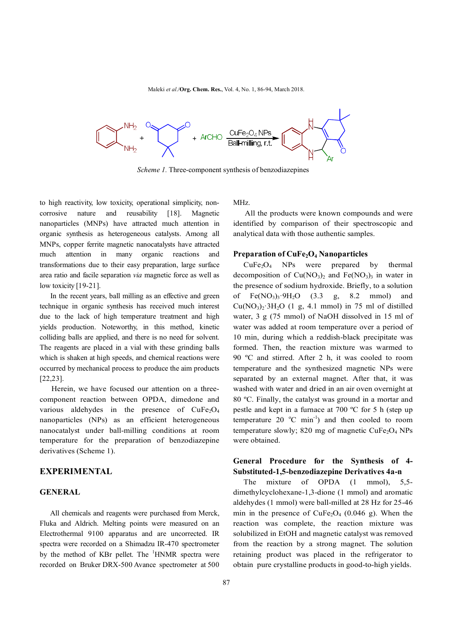

*Scheme 1.* Three-component synthesis of benzodiazepines

to high reactivity, low toxicity, operational simplicity, noncorrosive nature and reusability [18]. Magnetic nanoparticles (MNPs) have attracted much attention in organic synthesis as heterogeneous catalysts. Among all MNPs, copper ferrite magnetic nanocatalysts have attracted much attention in many organic reactions and transformations due to their easy preparation, large surface area ratio and facile separation *via* magnetic force as well as low toxicity [19-21].

 In the recent years, ball milling as an effective and green technique in organic synthesis has received much interest due to the lack of high temperature treatment and high yields production. Noteworthy, in this method, kinetic colliding balls are applied, and there is no need for solvent. The reagents are placed in a vial with these grinding balls which is shaken at high speeds, and chemical reactions were occurred by mechanical process to produce the aim products [22,23].

 Herein, we have focused our attention on a threecomponent reaction between OPDA, dimedone and various aldehydes in the presence of  $CuFe<sub>2</sub>O<sub>4</sub>$ nanoparticles (NPs) as an efficient heterogeneous nanocatalyst under ball-milling conditions at room temperature for the preparation of benzodiazepine derivatives (Scheme 1).

### **EXPERIMENTAL**

#### **GENERAL**

 All chemicals and reagents were purchased from Merck, Fluka and Aldrich. Melting points were measured on an Electrothermal 9100 apparatus and are uncorrected. IR spectra were recorded on a Shimadzu IR-470 spectrometer by the method of KBr pellet. The <sup>1</sup>HNMR spectra were recorded on Bruker DRX-500 Avance spectrometer at 500 MHz.

 All the products were known compounds and were identified by comparison of their spectroscopic and analytical data with those authentic samples.

### **Preparation of CuFe2O<sup>4</sup> Nanoparticles**

 $CuFe<sub>2</sub>O<sub>4</sub>$  NPs were prepared by thermal decomposition of  $Cu(NO<sub>3</sub>)<sub>2</sub>$  and  $Fe(NO<sub>3</sub>)<sub>3</sub>$  in water in the presence of sodium hydroxide. Briefly, to a solution of  $Fe(NO_3)_3.9H_2O$  (3.3 g, 8.2 mmol) and  $Cu(NO<sub>3</sub>)<sub>2</sub>·3H<sub>2</sub>O$  (1 g, 4.1 mmol) in 75 ml of distilled water, 3 g (75 mmol) of NaOH dissolved in 15 ml of water was added at room temperature over a period of 10 min, during which a reddish-black precipitate was formed. Then, the reaction mixture was warmed to 90 ºC and stirred. After 2 h, it was cooled to room temperature and the synthesized magnetic NPs were separated by an external magnet. After that, it was washed with water and dried in an air oven overnight at 80 ºC. Finally, the catalyst was ground in a mortar and pestle and kept in a furnace at 700 ºC for 5 h (step up temperature 20  $^{\circ}$ C min<sup>-1</sup>) and then cooled to room temperature slowly; 820 mg of magnetic  $CuFe<sub>2</sub>O<sub>4</sub> NPs$ were obtained.

### **General Procedure for the Synthesis of 4- Substituted-1,5-benzodiazepine Derivatives 4a-n**

The mixture of OPDA (1 mmol), 5,5dimethylcyclohexane-1,3-dione (1 mmol) and aromatic aldehydes (1 mmol) were ball-milled at 28 Hz for 25-46 min in the presence of  $CuFe<sub>2</sub>O<sub>4</sub>$  (0.046 g). When the reaction was complete, the reaction mixture was solubilized in EtOH and magnetic catalyst was removed from the reaction by a strong magnet. The solution retaining product was placed in the refrigerator to obtain pure crystalline products in good-to-high yields.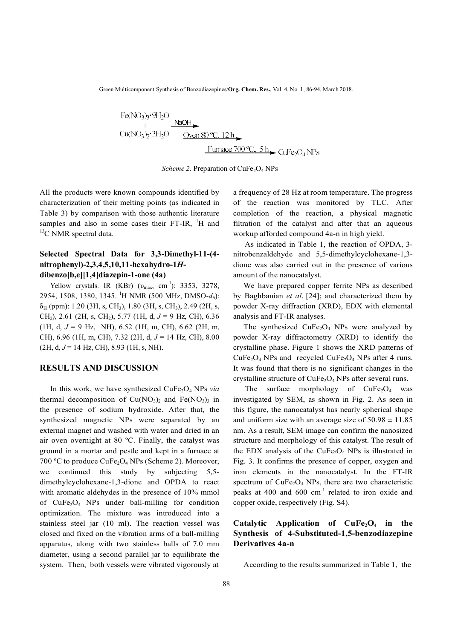Green Multicomponent Synthesis of Benzodiazepines/**Org. Chem. Res.**, Vol. 4, No. 1, 86-94, March 2018.

*Scheme 2.* Preparation of CuFe<sub>2</sub>O<sub>4</sub> NPs

All the products were known compounds identified by characterization of their melting points (as indicated in Table 3) by comparison with those authentic literature samples and also in some cases their FT-IR, <sup>1</sup>H and <sup>13</sup>C NMR spectral data.

## **Selected Spectral Data for 3,3-Dimethyl-11-(4 nitrophenyl)-2,3,4,5,10,11-hexahydro-1***H***dibenzo[b,e][1,4]diazepin-1-one (4a)**

Yellow crystals. IR  $(KBr)$   $(v_{max}, cm^{-1})$ : 3353, 3278, 2954, 1508, 1380, 1345. <sup>1</sup>H NMR (500 MHz, DMSO-*d6*):  $\delta_H$  (ppm): 1.20 (3H, s, CH<sub>3</sub>), 1.80 (3H, s, CH<sub>3</sub>), 2.49 (2H, s, CH2), 2.61 (2H, s, CH2), 5.77 (1H, d, *J* = 9 Hz, CH), 6.36 (1H, d,  $J = 9$  Hz, NH), 6.52 (1H, m, CH), 6.62 (2H, m, CH), 6.96 (1H, m, CH), 7.32 (2H, d, *J* = 14 Hz, CH), 8.00  $(2H, d, J = 14 Hz, CH), 8.93 (1H, s, NH).$ 

#### **RESULTS AND DISCUSSION**

In this work, we have synthesized CuFe<sub>2</sub>O<sub>4</sub> NPs *via* thermal decomposition of  $Cu(NO<sub>3</sub>)<sub>2</sub>$  and  $Fe(NO<sub>3</sub>)<sub>3</sub>$  in the presence of sodium hydroxide. After that, the synthesized magnetic NPs were separated by an external magnet and washed with water and dried in an air oven overnight at 80 ºC. Finally, the catalyst was ground in a mortar and pestle and kept in a furnace at 700 °C to produce  $CuFe<sub>2</sub>O<sub>4</sub>$  NPs (Scheme 2). Moreover, we continued this study by subjecting 5,5 dimethylcyclohexane-1,3-dione and OPDA to react with aromatic aldehydes in the presence of 10% mmol of  $CuFe<sub>2</sub>O<sub>4</sub>$  NPs under ball-milling for condition optimization. The mixture was introduced into a stainless steel jar (10 ml). The reaction vessel was closed and fixed on the vibration arms of a ball-milling apparatus, along with two stainless balls of 7.0 mm diameter, using a second parallel jar to equilibrate the system. Then, both vessels were vibrated vigorously at

a frequency of 28 Hz at room temperature. The progress of the reaction was monitored by TLC. After completion of the reaction, a physical magnetic filtration of the catalyst and after that an aqueous workup afforded compound 4a-n in high yield.

 As indicated in Table 1, the reaction of OPDA, 3 nitrobenzaldehyde and 5,5-dimethylcyclohexane-1,3 dione was also carried out in the presence of various amount of the nanocatalyst.

We have prepared copper ferrite NPs as described by Baghbanian *et al*. [24]; and characterized them by powder X-ray diffraction (XRD), EDX with elemental analysis and FT-IR analyses.

The synthesized  $CuFe<sub>2</sub>O<sub>4</sub>$  NPs were analyzed by powder X-ray diffractometry (XRD) to identify the crystalline phase. Figure 1 shows the XRD patterns of  $CuFe<sub>2</sub>O<sub>4</sub> NPs$  and recycled  $CuFe<sub>2</sub>O<sub>4</sub> NPs$  after 4 runs. It was found that there is no significant changes in the crystalline structure of  $CuFe<sub>2</sub>O<sub>4</sub>$  NPs after several runs.

The surface morphology of  $CuFe<sub>2</sub>O<sub>4</sub>$  was investigated by SEM, as shown in Fig. 2. As seen in this figure, the nanocatalyst has nearly spherical shape and uniform size with an average size of  $50.98 \pm 11.85$ nm. As a result, SEM image can confirm the nanosized structure and morphology of this catalyst. The result of the EDX analysis of the  $CuFe<sub>2</sub>O<sub>4</sub>$  NPs is illustrated in Fig. 3. It confirms the presence of copper, oxygen and iron elements in the nanocatalyst. In the FT-IR spectrum of  $CuFe<sub>2</sub>O<sub>4</sub>$  NPs, there are two characteristic peaks at 400 and  $600 \text{ cm}^{-1}$  related to iron oxide and copper oxide, respectively (Fig. S4).

## **Catalytic Application of CuFe2O4 in the Synthesis of 4-Substituted-1,5-benzodiazepine Derivatives 4a-n**

According to the results summarized in Table 1, the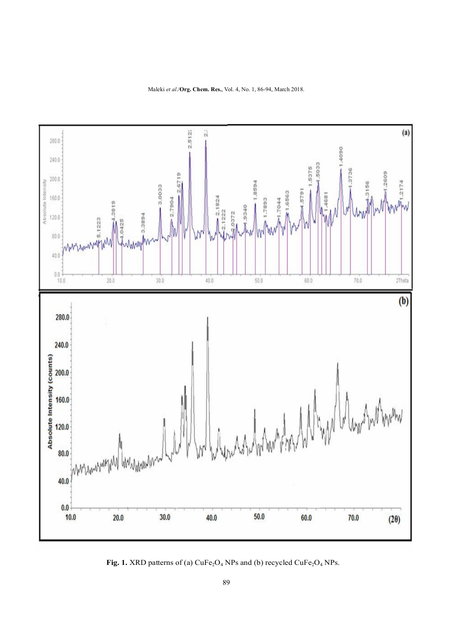Maleki *et al*./**Org. Chem. Res.**, Vol. 4, No. 1, 86-94, March 2018.



**Fig. 1.** XRD patterns of (a)  $CuFe<sub>2</sub>O<sub>4</sub>$  NPs and (b) recycled  $CuFe<sub>2</sub>O<sub>4</sub>$  NPs.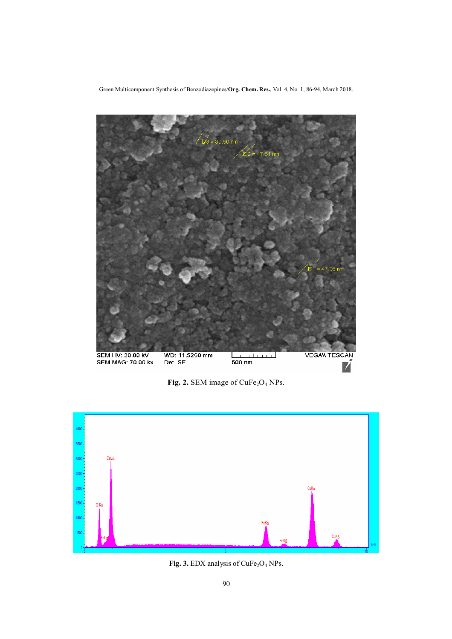Green Multicomponent Synthesis of Benzodiazepines/**Org. Chem. Res.**, Vol. 4, No. 1, 86-94, March 2018.



Fig. 2. SEM image of CuFe<sub>2</sub>O<sub>4</sub> NPs.



Fig. 3. EDX analysis of CuFe<sub>2</sub>O<sub>4</sub> NPs.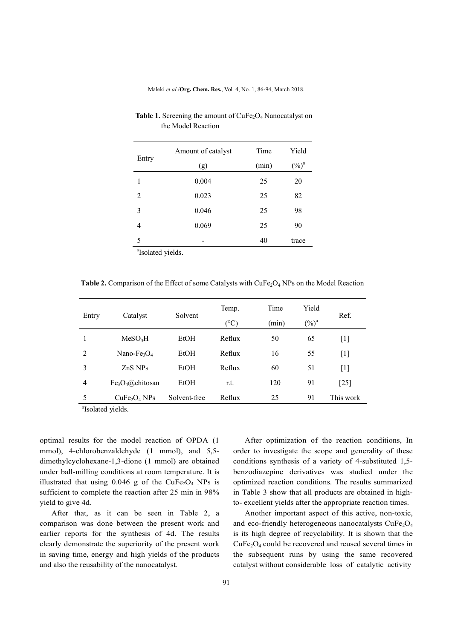Maleki *et al*./**Org. Chem. Res.**, Vol. 4, No. 1, 86-94, March 2018.

|                               | Amount of catalyst | Time  | Yield    |
|-------------------------------|--------------------|-------|----------|
| Entry                         | (g)                | (min) | $(\%)^a$ |
| 1                             | 0.004              | 25    | 20       |
| 2                             | 0.023              | 25    | 82       |
| 3                             | 0.046              | 25    | 98       |
| $\overline{4}$                | 0.069              | 25    | 90       |
| 5                             |                    | 40    | trace    |
| <sup>a</sup> Isolated yields. |                    |       |          |

**Table 1.** Screening the amount of  $CuFe<sub>2</sub>O<sub>4</sub>$  Nanocatalyst on the Model Reaction

**Table 2.** Comparison of the Effect of some Catalysts with CuFe<sub>2</sub>O<sub>4</sub> NPs on the Model Reaction

| Entry          | Catalyst                             | Solvent      | Temp.  | Time  | Yield    | Ref.               |
|----------------|--------------------------------------|--------------|--------|-------|----------|--------------------|
|                |                                      |              | (°C)   | (min) | $(\%)^a$ |                    |
| 1              | MeSO <sub>3</sub> H                  | EtOH         | Reflux | 50    | 65       | $[1]$              |
| 2              | Nano-Fe <sub>3</sub> $O_4$           | EtOH         | Reflux | 16    | 55       | $[1]$              |
| 3              | ZnS NPs                              | <b>EtOH</b>  | Reflux | 60    | 51       | $[1]$              |
| $\overline{4}$ | $Fe3O4(a)$ chitosan                  | EtOH         | r.t.   | 120   | 91       | $\lceil 25 \rceil$ |
| 5              | CuFe <sub>2</sub> O <sub>4</sub> NPs | Solvent-free | Reflux | 25    | 91       | This work          |

a Isolated yields.

optimal results for the model reaction of OPDA (1 mmol), 4-chlorobenzaldehyde (1 mmol), and 5,5 dimethylcyclohexane-1,3-dione (1 mmol) are obtained under ball-milling conditions at room temperature. It is illustrated that using  $0.046$  g of the CuFe<sub>2</sub>O<sub>4</sub> NPs is sufficient to complete the reaction after 25 min in 98% yield to give 4d.

 After that, as it can be seen in Table 2, a comparison was done between the present work and earlier reports for the synthesis of 4d. The results clearly demonstrate the superiority of the present work in saving time, energy and high yields of the products and also the reusability of the nanocatalyst.

 After optimization of the reaction conditions, In order to investigate the scope and generality of these conditions synthesis of a variety of 4-substituted 1,5 benzodiazepine derivatives was studied under the optimized reaction conditions. The results summarized in Table 3 show that all products are obtained in highto- excellent yields after the appropriate reaction times.

 Another important aspect of this active, non-toxic, and eco-friendly heterogeneous nanocatalysts  $CuFe<sub>2</sub>O<sub>4</sub>$ is its high degree of recyclability. It is shown that the  $CuFe<sub>2</sub>O<sub>4</sub>$  could be recovered and reused several times in the subsequent runs by using the same recovered catalyst without considerable loss of catalytic activity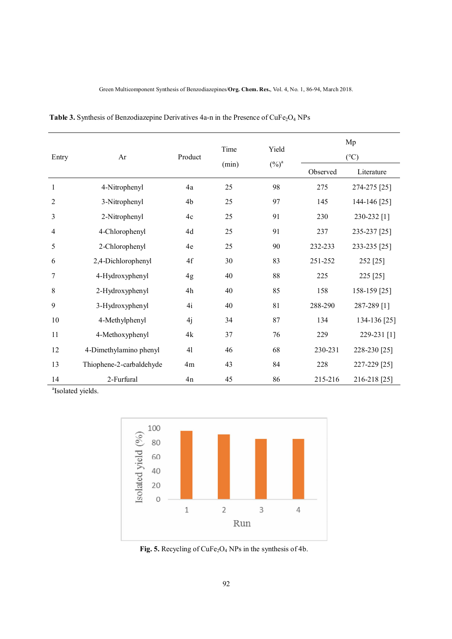| Entry          | Ar                       | Product       | Time<br>(min) | Yield<br>$(\%)^a$ | Mp            |              |
|----------------|--------------------------|---------------|---------------|-------------------|---------------|--------------|
|                |                          |               |               |                   | $(^{\circ}C)$ |              |
|                |                          |               |               |                   | Observed      | Literature   |
| 1              | 4-Nitrophenyl            | 4a            | 25            | 98                | 275           | 274-275 [25] |
| $\overline{2}$ | 3-Nitrophenyl            | 4b            | 25            | 97                | 145           | 144-146 [25] |
| 3              | 2-Nitrophenyl            | $4\mathrm{c}$ | 25            | 91                | 230           | 230-232 [1]  |
| $\overline{4}$ | 4-Chlorophenyl           | 4d            | 25            | 91                | 237           | 235-237 [25] |
| 5              | 2-Chlorophenyl           | 4e            | 25            | 90                | 232-233       | 233-235 [25] |
| 6              | 2,4-Dichlorophenyl       | 4f            | 30            | 83                | 251-252       | 252 [25]     |
| 7              | 4-Hydroxyphenyl          | 4g            | 40            | 88                | 225           | 225 [25]     |
| 8              | 2-Hydroxyphenyl          | $4\mathrm{h}$ | 40            | 85                | 158           | 158-159 [25] |
| 9              | 3-Hydroxyphenyl          | 4i            | 40            | 81                | 288-290       | 287-289 [1]  |
| 10             | 4-Methylphenyl           | 4j            | 34            | 87                | 134           | 134-136 [25] |
| 11             | 4-Methoxyphenyl          | 4k            | 37            | 76                | 229           | 229-231 [1]  |
| 12             | 4-Dimethylamino phenyl   | 41            | 46            | 68                | 230-231       | 228-230 [25] |
| 13             | Thiophene-2-carbaldehyde | 4m            | 43            | 84                | 228           | 227-229 [25] |
| 14             | 2-Furfural               | 4n            | 45            | 86                | 215-216       | 216-218 [25] |

Table 3. Synthesis of Benzodiazepine Derivatives 4a-n in the Presence of CuFe<sub>2</sub>O<sub>4</sub> NPs

<sup>a</sup> Isolated yields.



Fig. 5. Recycling of CuFe<sub>2</sub>O<sub>4</sub> NPs in the synthesis of 4b.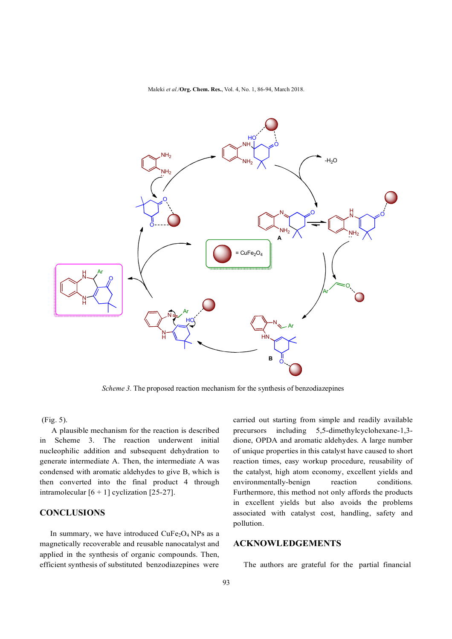Maleki *et al*./**Org. Chem. Res.**, Vol. 4, No. 1, 86-94, March 2018.



*Scheme 3.* The proposed reaction mechanism for the synthesis of benzodiazepines

(Fig. 5).

 A plausible mechanism for the reaction is described in Scheme 3. The reaction underwent initial nucleophilic addition and subsequent dehydration to generate intermediate A. Then, the intermediate A was condensed with aromatic aldehydes to give B, which is then converted into the final product 4 through intramolecular  $[6 + 1]$  cyclization  $[25-27]$ .

# **CONCLUSIONS**

In summary, we have introduced  $CuFe<sub>2</sub>O<sub>4</sub> NPs$  as a magnetically recoverable and reusable nanocatalyst and applied in the synthesis of organic compounds. Then, efficient synthesis of substituted benzodiazepines were

carried out starting from simple and readily available precursors including 5,5-dimethylcyclohexane-1,3 dione, OPDA and aromatic aldehydes. A large number of unique properties in this catalyst have caused to short reaction times, easy workup procedure, reusability of the catalyst, high atom economy, excellent yields and environmentally-benign reaction conditions. Furthermore, this method not only affords the products in excellent yields but also avoids the problems associated with catalyst cost, handling, safety and pollution.

# **ACKNOWLEDGEMENTS**

The authors are grateful for the partial financial